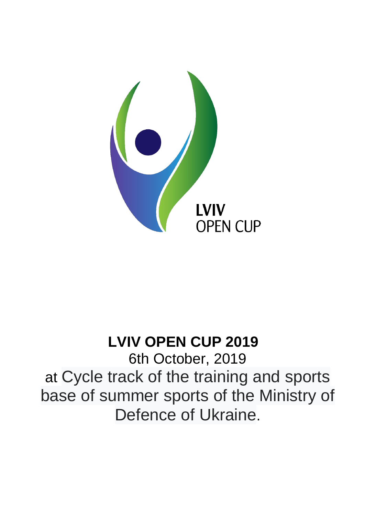

# **LVIV OPEN CUP 2019**

6th October, 2019 at Cycle track of the training and sports base of summer sports of the Ministry of Defence of Ukraine.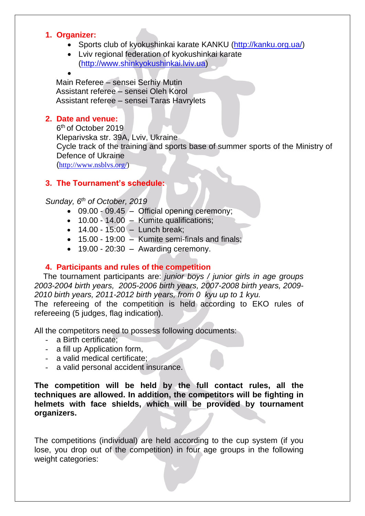#### **1. Organizer:**

- Sports club of kyokushinkai karate KANKU [\(http://kanku.org.ua/\)](http://kanku.org.ua/)
- Lviv regional federation of kyokushinkai karate [\(http://www.shinkyokushinkai.lviv.ua\)](http://www.shinkyokushinkai.lviv.ua/)

#### $\bullet$

Main Referee – sensei Serhiy Mutin Assistant referee – sensei Oleh Korol Assistant referee – sensei Taras Havrylets

# **2. Date and venue:**

6<sup>th</sup> of October 2019 Kleparivska str. 39A, Lviv, Ukraine Cycle track of the training and sports base of summer sports of the Ministry of Defence of Ukraine ([http://www.nsblvs.org/\)](http://www.nsblvs.org/)

# **3. The Tournament's schedule:**

# *Sunday, 6 th of October, 2019*

- 09.00 09.45 Official opening ceremony;
- 10.00 14.00 Kumite qualifications;
- $\bullet$  14.00 15:00 Lunch break;
- $\bullet$  15.00 19:00 Kumite semi-finals and finals;
- $\bullet$  19.00 20:30 Awarding ceremony.

#### **4. Participants and rules of the competition**

 The tournament participants are: *junior boys / junior girls in age groups 2003-2004 birth years, 2005-2006 birth years, 2007-2008 birth years, 2009- 2010 birth years, 2011-2012 birth years, from 0 kyu up to 1 kyu.* The refereeing of the competition is held according to EKO rules of

refereeing (5 judges, flag indication).

All the competitors need to possess following documents:

- a Birth certificate;
- a fill up Application form,
- a valid medical certificate;
- a valid personal accident insurance.

**The competition will be held by the full contact rules, all the techniques are allowed. In addition, the competitors will be fighting in helmets with face shields, which will be provided by tournament organizers.**

The competitions (individual) are held according to the cup system (if you lose, you drop out of the competition) in four age groups in the following weight categories: